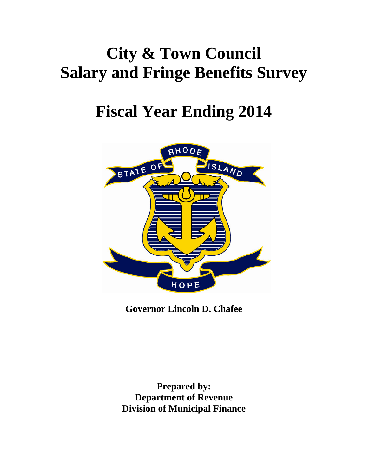# **City & Town Council Salary and Fringe Benefits Survey**

## **Fiscal Year Ending 2014**



**Governor Lincoln D. Chafee** 

**Prepared by: Department of Revenue Division of Municipal Finance**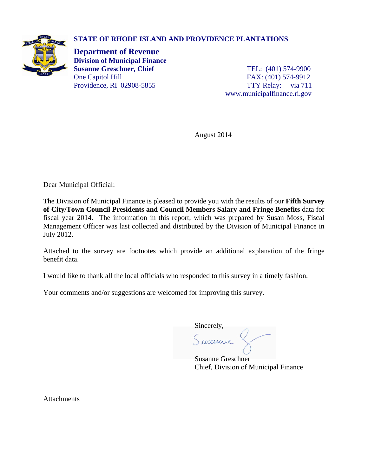## **STATE OF RHODE ISLAND AND PROVIDENCE PLANTATIONS**



**Department of Revenue Division of Municipal Finance Susanne Greschner, Chief** TEL: (401) 574-9900 One Capitol Hill FAX: (401) 574-9912 Providence, RI 02908-5855 TTY Relay: via 711

www.municipalfinance.ri.gov

August 2014

Dear Municipal Official:

The Division of Municipal Finance is pleased to provide you with the results of our **Fifth Survey of City/Town Council Presidents and Council Members Salary and Fringe Benefits** data for fiscal year 2014. The information in this report, which was prepared by Susan Moss, Fiscal Management Officer was last collected and distributed by the Division of Municipal Finance in July 2012.

Attached to the survey are footnotes which provide an additional explanation of the fringe benefit data.

I would like to thank all the local officials who responded to this survey in a timely fashion.

Your comments and/or suggestions are welcomed for improving this survey.

Sincerely,<br> $\int$ usculle

 Susanne Greschner Chief, Division of Municipal Finance

**Attachments**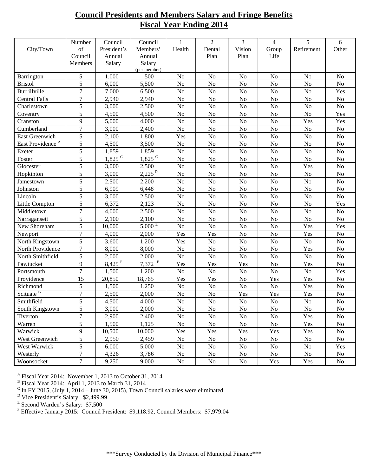## **Council Presidents and Members Salary and Fringe Benefits Fiscal Year Ending 2014**

|                              | Number           | Council                | Council              | 1              | $\overline{2}$ | 3              | $\overline{4}$ | 5              | 6              |
|------------------------------|------------------|------------------------|----------------------|----------------|----------------|----------------|----------------|----------------|----------------|
| City/Town                    | of               | President's            | Members'             | Health         | Dental         | Vision         | Group          | Retirement     | Other          |
|                              | Council          | Annual                 | Annual               |                | Plan           | Plan           | Life           |                |                |
|                              | Members          | Salary                 | Salary               |                |                |                |                |                |                |
|                              |                  |                        | (per member)         |                |                |                |                |                |                |
| Barrington                   | 5                | 1,000                  | 500                  | N <sub>o</sub> | N <sub>o</sub> | No             | N <sub>o</sub> | N <sub>o</sub> | N <sub>o</sub> |
| <b>Bristol</b>               | 5                | 6,000                  | 5,500                | N <sub>0</sub> | No             | No             | N <sub>o</sub> | N <sub>o</sub> | No             |
| Burrillville                 | $\tau$           | 7,000                  | 6,500                | N <sub>o</sub> | No             | N <sub>o</sub> | No             | N <sub>o</sub> | Yes            |
| <b>Central Falls</b>         | $\overline{7}$   | 2,940                  | 2,940                | No             | N <sub>o</sub> | No             | N <sub>o</sub> | N <sub>o</sub> | No             |
| Charlestown                  | 5                | 3,000                  | 2,500                | No             | N <sub>o</sub> | No             | N <sub>o</sub> | No             | $\rm No$       |
| Coventry                     | 5                | 4,500                  | 4,500                | No             | N <sub>o</sub> | N <sub>o</sub> | N <sub>o</sub> | N <sub>o</sub> | Yes            |
| Cranston                     | 9                | 5,000                  | 4,000                | N <sub>o</sub> | N <sub>o</sub> | N <sub>o</sub> | N <sub>o</sub> | Yes            | Yes            |
| Cumberland                   | $\overline{7}$   | 3,000                  | 2,400                | N <sub>o</sub> | N <sub>o</sub> | No             | N <sub>o</sub> | No             | No             |
| East Greenwich               | 5                | 2,100                  | 1,800                | Yes            | N <sub>o</sub> | No             | N <sub>o</sub> | N <sub>o</sub> | No             |
| East Providence <sup>A</sup> | 5                | 4,500                  | 3,500                | N <sub>o</sub> | N <sub>o</sub> | N <sub>o</sub> | N <sub>o</sub> | N <sub>o</sub> | N <sub>o</sub> |
| Exeter                       | 5                | 1,859                  | 1,859                | No             | No             | No             | N <sub>o</sub> | No             | N <sub>o</sub> |
| Foster                       | 5                | $1,825$ <sup>C</sup>   | $1,825$ <sup>C</sup> | No             | No             | No             | N <sub>o</sub> | No             | N <sub>o</sub> |
| Glocester                    | 5                | 3,000                  | 2,500                | N <sub>o</sub> | N <sub>o</sub> | N <sub>o</sub> | N <sub>o</sub> | Yes            | N <sub>o</sub> |
| Hopkinton                    | 5                | 3,000                  | $2,225^{D}$          | N <sub>o</sub> | No             | No             | N <sub>o</sub> | N <sub>o</sub> | No             |
| Jamestown                    | 5                | 2,500                  | 2,200                | No             | No             | No             | No             | No             | No             |
| Johnston                     | 5                | 6,909                  | 6,448                | N <sub>o</sub> | No             | N <sub>o</sub> | N <sub>o</sub> | No             | No             |
| Lincoln                      | 5                | 3,000                  | 2,500                | N <sub>o</sub> | N <sub>o</sub> | No             | No             | N <sub>o</sub> | No             |
| Little Compton               | 5                | 6,372                  | 2,123                | No             | No             | No             | N <sub>o</sub> | No             | Yes            |
| Middletown                   | 7                | 4,000                  | 2,500                | N <sub>o</sub> | N <sub>o</sub> | N <sub>o</sub> | N <sub>o</sub> | N <sub>o</sub> | No             |
| Narragansett                 | 5                | 2,100                  | 2,100                | N <sub>o</sub> | No             | No             | N <sub>o</sub> | N <sub>o</sub> | No             |
| New Shoreham                 | 5                | 10,000                 | $5,000 \text{ E}$    | No             | No             | N <sub>o</sub> | N <sub>o</sub> | Yes            | Yes            |
| Newport                      | $\tau$           | 4,000                  | 2,000                | Yes            | Yes            | N <sub>o</sub> | N <sub>o</sub> | Yes            | N <sub>o</sub> |
| North Kingstown              | $\overline{5}$   | 3,600                  | 1,200                | Yes            | No             | No             | No             | No             | No             |
| North Providence             | $\overline{7}$   | 8,000                  | 8,000                | No             | No             | No             | N <sub>o</sub> | Yes            | No             |
| North Smithfield             | 5                | 2,000                  | 2,000                | N <sub>o</sub> | N <sub>o</sub> | N <sub>o</sub> | N <sub>o</sub> | N <sub>o</sub> | No             |
| Pawtucket                    | 9                | $8,42\overline{5}^{F}$ | $7,372$ <sup>F</sup> | Yes            | Yes            | Yes            | N <sub>o</sub> | Yes            | No             |
| Portsmouth                   | $\overline{7}$   | 1,500                  | 1,200                | N <sub>o</sub> | N <sub>o</sub> | No             | No             | No             | Yes            |
| Providence                   | 15               | 20,850                 | 18,765               | Yes            | Yes            | N <sub>o</sub> | Yes            | Yes            | No             |
| Richmond                     | 5                | 1,500                  | 1,250                | N <sub>o</sub> | No             | No             | No             | Yes            | No             |
| Scituate <sup>B</sup>        | $\overline{7}$   | 2,500                  | 2,000                | N <sub>o</sub> | N <sub>o</sub> | Yes            | Yes            | Yes            | No             |
| Smithfield                   | 5                | 4,500                  | 4,000                | N <sub>o</sub> | No             | No             | N <sub>o</sub> | No             | No             |
| South Kingstown              | 5                | 3,000                  | 2,000                | No             | N <sub>o</sub> | N <sub>0</sub> | N <sub>0</sub> | N <sub>0</sub> | No             |
| Tiverton                     | $\boldsymbol{7}$ | 2,900                  | 2,400                | No             | No             | No             | No             | Yes            | No             |
| Warren                       | 5                | 1,500                  | 1,125                | No             | No             | No             | No             | Yes            | No             |
| Warwick                      | 9                | 10,500                 | 10,000               | Yes            | Yes            | Yes            | Yes            | Yes            | No             |
| West Greenwich               | 5                | 2,950                  | 2,459                | No             | $\rm No$       | $\rm No$       | $\rm No$       | No             | No             |
| <b>West Warwick</b>          | 5                | 6,000                  | 5,000                | No             | No             | No             | $\rm No$       | No             | Yes            |
| Westerly                     | $\tau$           | 4,326                  | 3,786                | No             | No             | No             | No             | No             | No             |
| Woonsocket                   | $\tau$           | 9,250                  | 9,000                | No             | No             | No             | Yes            | Yes            | No             |

A Fiscal Year 2014: November 1, 2013 to October 31, 2014<br>
<sup>B</sup> Fiscal Year 2014: April 1, 2013 to March 31, 2014<br>
<sup>C</sup> In FY 2015, (July 1, 2014 – June 30, 2015), Town Council salaries were eliminated<br>
<sup>D</sup> Vice President's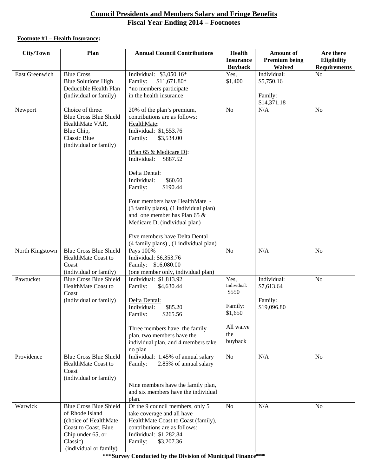## **Council Presidents and Members Salary and Fringe Benefits Fiscal Year Ending 2014 – Footnotes**

## **Footnote #1 – Health Insurance:**

| <b>City/Town</b>      | Plan                                                                                                                                                         | <b>Annual Council Contributions</b>                                                                                                                                                                                                                                                                                                                                                                                                                                             | <b>Health</b><br><b>Insurance</b><br><b>Buyback</b>                               | <b>Amount of</b><br><b>Premium being</b><br><b>Waived</b> | Are there<br>Eligibility<br><b>Requirements</b> |
|-----------------------|--------------------------------------------------------------------------------------------------------------------------------------------------------------|---------------------------------------------------------------------------------------------------------------------------------------------------------------------------------------------------------------------------------------------------------------------------------------------------------------------------------------------------------------------------------------------------------------------------------------------------------------------------------|-----------------------------------------------------------------------------------|-----------------------------------------------------------|-------------------------------------------------|
| <b>East Greenwich</b> | <b>Blue Cross</b><br><b>Blue Solutions High</b><br>Deductible Health Plan<br>(individual or family)                                                          | Individual: \$3,050.16*<br>Family:<br>$$11,671.80*$<br>*no members participate<br>in the health insurance                                                                                                                                                                                                                                                                                                                                                                       | Yes,<br>\$1,400                                                                   | Individual:<br>\$5,750.16<br>Family:                      | N <sub>o</sub>                                  |
| Newport               | Choice of three:<br><b>Blue Cross Blue Shield</b><br>HealthMate VAR,<br>Blue Chip,<br>Classic Blue<br>(individual or family)                                 | 20% of the plan's premium,<br>contributions are as follows:<br>HealthMate:<br>Individual: \$1,553.76<br>Family:<br>\$3,534.00<br>(Plan 65 & Medicare D):<br>Individual:<br>\$887.52<br>Delta Dental:<br>Individual:<br>\$60.60<br>\$190.44<br>Family:<br>Four members have HealthMate -<br>(3 family plans), (1 individual plan)<br>and one member has Plan 65 $\&$<br>Medicare D, (individual plan)<br>Five members have Delta Dental<br>(4 family plans), (1 individual plan) | N <sub>o</sub>                                                                    | \$14,371.18<br>N/A                                        | N <sub>o</sub>                                  |
| North Kingstown       | <b>Blue Cross Blue Shield</b><br>HealthMate Coast to<br>Coast<br>(individual or family)                                                                      | Pays 100%<br>Individual: \$6,353.76<br>Family: \$16,080.00<br>(one member only, individual plan)                                                                                                                                                                                                                                                                                                                                                                                | N <sub>o</sub>                                                                    | N/A                                                       | No                                              |
| Pawtucket             | <b>Blue Cross Blue Shield</b><br>HealthMate Coast to<br>Coast<br>(individual or family)                                                                      | Individual: \$1,813.92<br>Family:<br>\$4,630.44<br>Delta Dental:<br>Individual:<br>\$85.20<br>\$265.56<br>Family:<br>Three members have the family<br>plan, two members have the<br>individual plan, and 4 members take<br>no plan                                                                                                                                                                                                                                              | Yes,<br>Individual:<br>\$550<br>Family:<br>\$1,650<br>All waive<br>the<br>buyback | Individual:<br>\$7,613.64<br>Family:<br>\$19,096.80       | N <sub>o</sub>                                  |
| Providence            | <b>Blue Cross Blue Shield</b><br>HealthMate Coast to<br>Coast<br>(individual or family)                                                                      | Individual: 1.45% of annual salary<br>Family:<br>2.85% of annual salary<br>Nine members have the family plan,<br>and six members have the individual<br>plan.                                                                                                                                                                                                                                                                                                                   | N <sub>o</sub>                                                                    | N/A                                                       | <b>No</b>                                       |
| Warwick               | <b>Blue Cross Blue Shield</b><br>of Rhode Island<br>(choice of HealthMate<br>Coast to Coast, Blue<br>Chip under 65, or<br>Classic)<br>(individual or family) | Of the 9 council members, only 5<br>take coverage and all have<br>HealthMate Coast to Coast (family),<br>contributions are as follows:<br>Individual: \$1,282.84<br>Family:<br>\$3,207.36                                                                                                                                                                                                                                                                                       | <b>No</b>                                                                         | N/A                                                       | <b>No</b>                                       |

**\*\*\*Survey Conducted by the Division of Municipal Finance\*\*\***